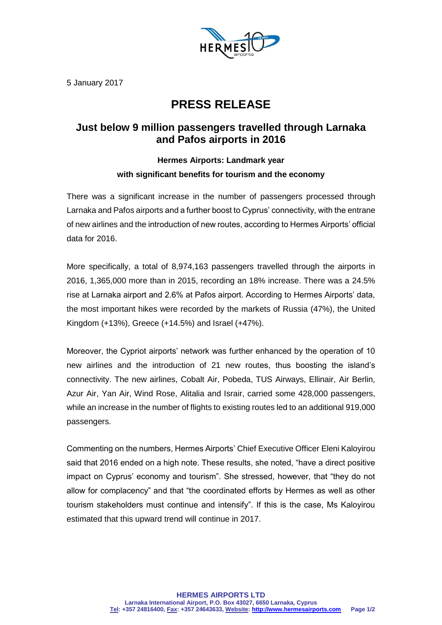

5 January 2017

## **PRESS RELEASE**

## **Just below 9 million passengers travelled through Larnaka and Pafos airports in 2016**

## **Hermes Airports: Landmark year with significant benefits for tourism and the economy**

There was a significant increase in the number of passengers processed through Larnaka and Pafos airports and a further boost to Cyprus' connectivity, with the entrane of new airlines and the introduction of new routes, according to Hermes Airports' official data for 2016.

More specifically, a total of 8,974,163 passengers travelled through the airports in 2016, 1,365,000 more than in 2015, recording an 18% increase. There was a 24.5% rise at Larnaka airport and 2.6% at Pafos airport. According to Hermes Airports' data, the most important hikes were recorded by the markets of Russia (47%), the United Kingdom (+13%), Greece (+14.5%) and Israel (+47%).

Moreover, the Cypriot airports' network was further enhanced by the operation of 10 new airlines and the introduction of 21 new routes, thus boosting the island's connectivity. The new airlines, Cobalt Air, Pobeda, TUS Airways, Ellinair, Air Berlin, Azur Air, Yan Air, Wind Rose, Alitalia and Israir, carried some 428,000 passengers, while an increase in the number of flights to existing routes led to an additional 919,000 passengers.

Commenting on the numbers, Hermes Airports' Chief Executive Officer Eleni Kaloyirou said that 2016 ended on a high note. These results, she noted, "have a direct positive impact on Cyprus' economy and tourism". She stressed, however, that "they do not allow for complacency" and that "the coordinated efforts by Hermes as well as other tourism stakeholders must continue and intensify". If this is the case, Ms Kaloyirou estimated that this upward trend will continue in 2017.